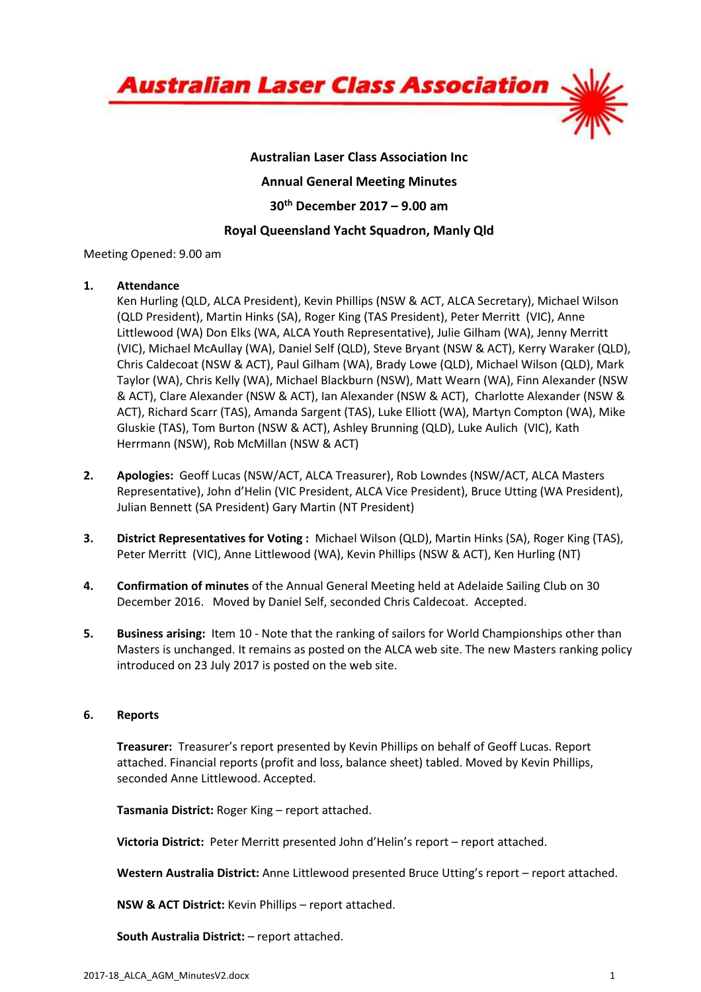

# Australian Laser Class Association Inc Annual General Meeting Minutes 30th December 2017 – 9.00 am Royal Queensland Yacht Squadron, Manly Qld

Meeting Opened: 9.00 am

## 1. Attendance

Ken Hurling (QLD, ALCA President), Kevin Phillips (NSW & ACT, ALCA Secretary), Michael Wilson (QLD President), Martin Hinks (SA), Roger King (TAS President), Peter Merritt (VIC), Anne Littlewood (WA) Don Elks (WA, ALCA Youth Representative), Julie Gilham (WA), Jenny Merritt (VIC), Michael McAullay (WA), Daniel Self (QLD), Steve Bryant (NSW & ACT), Kerry Waraker (QLD), Chris Caldecoat (NSW & ACT), Paul Gilham (WA), Brady Lowe (QLD), Michael Wilson (QLD), Mark Taylor (WA), Chris Kelly (WA), Michael Blackburn (NSW), Matt Wearn (WA), Finn Alexander (NSW & ACT), Clare Alexander (NSW & ACT), Ian Alexander (NSW & ACT), Charlotte Alexander (NSW & ACT), Richard Scarr (TAS), Amanda Sargent (TAS), Luke Elliott (WA), Martyn Compton (WA), Mike Gluskie (TAS), Tom Burton (NSW & ACT), Ashley Brunning (QLD), Luke Aulich (VIC), Kath Herrmann (NSW), Rob McMillan (NSW & ACT)

- 2. Apologies: Geoff Lucas (NSW/ACT, ALCA Treasurer), Rob Lowndes (NSW/ACT, ALCA Masters Representative), John d'Helin (VIC President, ALCA Vice President), Bruce Utting (WA President), Julian Bennett (SA President) Gary Martin (NT President)
- 3. District Representatives for Voting : Michael Wilson (QLD), Martin Hinks (SA), Roger King (TAS), Peter Merritt (VIC), Anne Littlewood (WA), Kevin Phillips (NSW & ACT), Ken Hurling (NT)
- 4. Confirmation of minutes of the Annual General Meeting held at Adelaide Sailing Club on 30 December 2016. Moved by Daniel Self, seconded Chris Caldecoat. Accepted.
- 5. Business arising: Item 10 Note that the ranking of sailors for World Championships other than Masters is unchanged. It remains as posted on the ALCA web site. The new Masters ranking policy introduced on 23 July 2017 is posted on the web site.

### 6. Reports

Treasurer: Treasurer's report presented by Kevin Phillips on behalf of Geoff Lucas. Report attached. Financial reports (profit and loss, balance sheet) tabled. Moved by Kevin Phillips, seconded Anne Littlewood. Accepted.

Tasmania District: Roger King – report attached.

Victoria District: Peter Merritt presented John d'Helin's report – report attached.

Western Australia District: Anne Littlewood presented Bruce Utting's report – report attached.

NSW & ACT District: Kevin Phillips – report attached.

South Australia District: – report attached.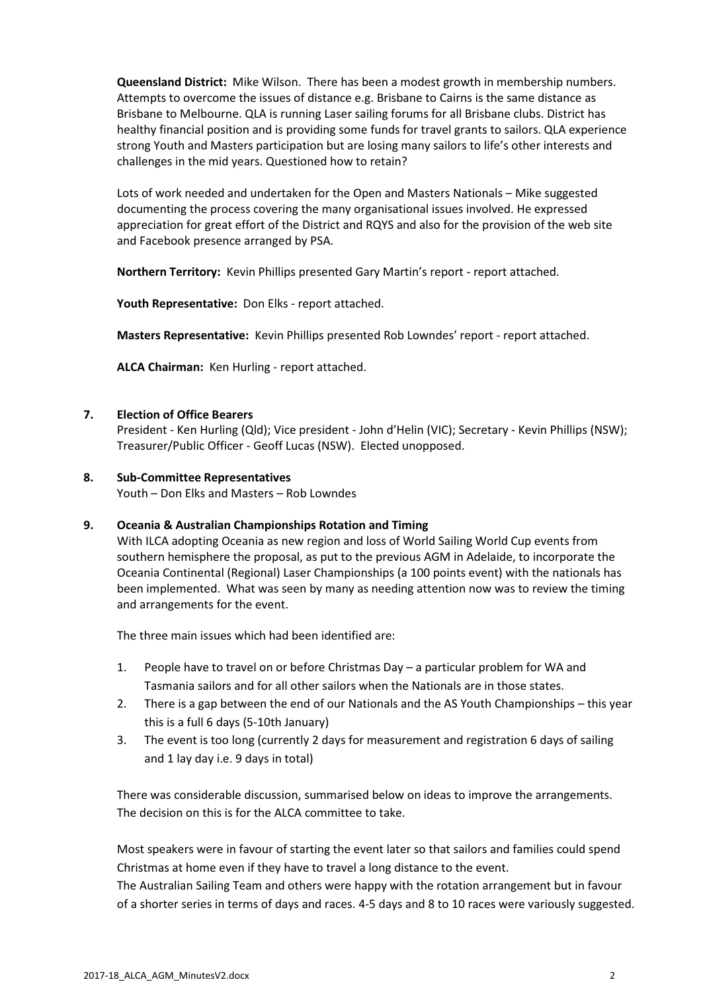Queensland District: Mike Wilson. There has been a modest growth in membership numbers. Attempts to overcome the issues of distance e.g. Brisbane to Cairns is the same distance as Brisbane to Melbourne. QLA is running Laser sailing forums for all Brisbane clubs. District has healthy financial position and is providing some funds for travel grants to sailors. QLA experience strong Youth and Masters participation but are losing many sailors to life's other interests and challenges in the mid years. Questioned how to retain?

Lots of work needed and undertaken for the Open and Masters Nationals – Mike suggested documenting the process covering the many organisational issues involved. He expressed appreciation for great effort of the District and RQYS and also for the provision of the web site and Facebook presence arranged by PSA.

Northern Territory: Kevin Phillips presented Gary Martin's report - report attached.

Youth Representative: Don Elks - report attached.

Masters Representative: Kevin Phillips presented Rob Lowndes' report - report attached.

ALCA Chairman: Ken Hurling - report attached.

### 7. Election of Office Bearers

President - Ken Hurling (Qld); Vice president - John d'Helin (VIC); Secretary - Kevin Phillips (NSW); Treasurer/Public Officer - Geoff Lucas (NSW). Elected unopposed.

### 8. Sub-Committee Representatives

Youth – Don Elks and Masters – Rob Lowndes

### 9. Oceania & Australian Championships Rotation and Timing

With ILCA adopting Oceania as new region and loss of World Sailing World Cup events from southern hemisphere the proposal, as put to the previous AGM in Adelaide, to incorporate the Oceania Continental (Regional) Laser Championships (a 100 points event) with the nationals has been implemented. What was seen by many as needing attention now was to review the timing and arrangements for the event.

The three main issues which had been identified are:

- 1. People have to travel on or before Christmas Day a particular problem for WA and Tasmania sailors and for all other sailors when the Nationals are in those states.
- 2. There is a gap between the end of our Nationals and the AS Youth Championships this year this is a full 6 days (5-10th January)
- 3. The event is too long (currently 2 days for measurement and registration 6 days of sailing and 1 lay day i.e. 9 days in total)

There was considerable discussion, summarised below on ideas to improve the arrangements. The decision on this is for the ALCA committee to take.

Most speakers were in favour of starting the event later so that sailors and families could spend Christmas at home even if they have to travel a long distance to the event.

The Australian Sailing Team and others were happy with the rotation arrangement but in favour of a shorter series in terms of days and races. 4-5 days and 8 to 10 races were variously suggested.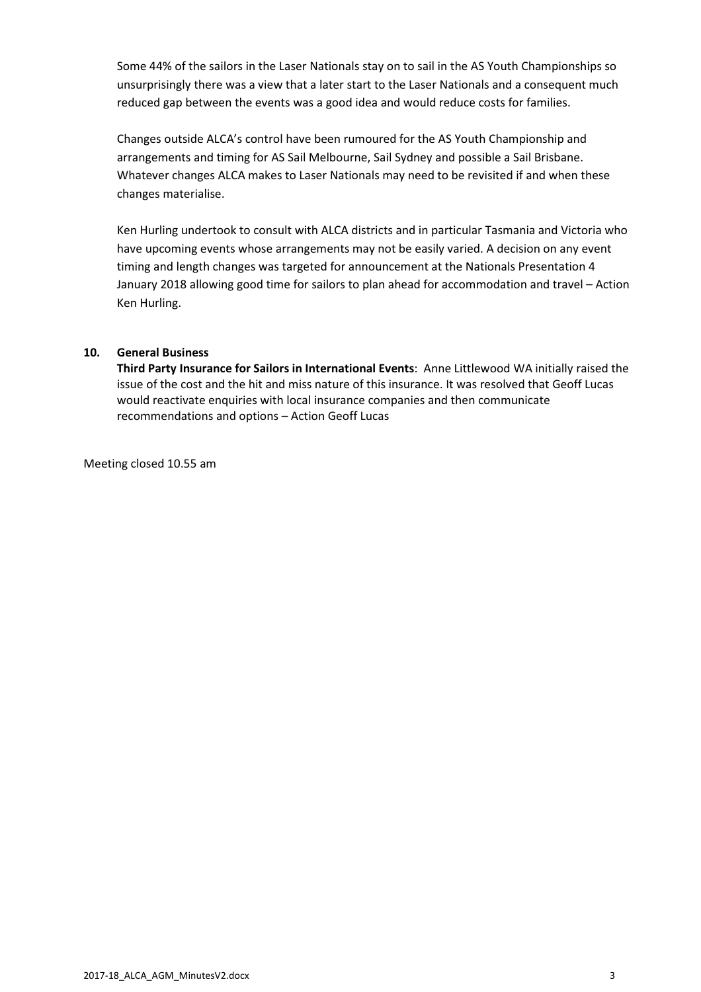Some 44% of the sailors in the Laser Nationals stay on to sail in the AS Youth Championships so unsurprisingly there was a view that a later start to the Laser Nationals and a consequent much reduced gap between the events was a good idea and would reduce costs for families.

Changes outside ALCA's control have been rumoured for the AS Youth Championship and arrangements and timing for AS Sail Melbourne, Sail Sydney and possible a Sail Brisbane. Whatever changes ALCA makes to Laser Nationals may need to be revisited if and when these changes materialise.

Ken Hurling undertook to consult with ALCA districts and in particular Tasmania and Victoria who have upcoming events whose arrangements may not be easily varied. A decision on any event timing and length changes was targeted for announcement at the Nationals Presentation 4 January 2018 allowing good time for sailors to plan ahead for accommodation and travel – Action Ken Hurling.

### 10. General Business

Third Party Insurance for Sailors in International Events: Anne Littlewood WA initially raised the issue of the cost and the hit and miss nature of this insurance. It was resolved that Geoff Lucas would reactivate enquiries with local insurance companies and then communicate recommendations and options – Action Geoff Lucas

Meeting closed 10.55 am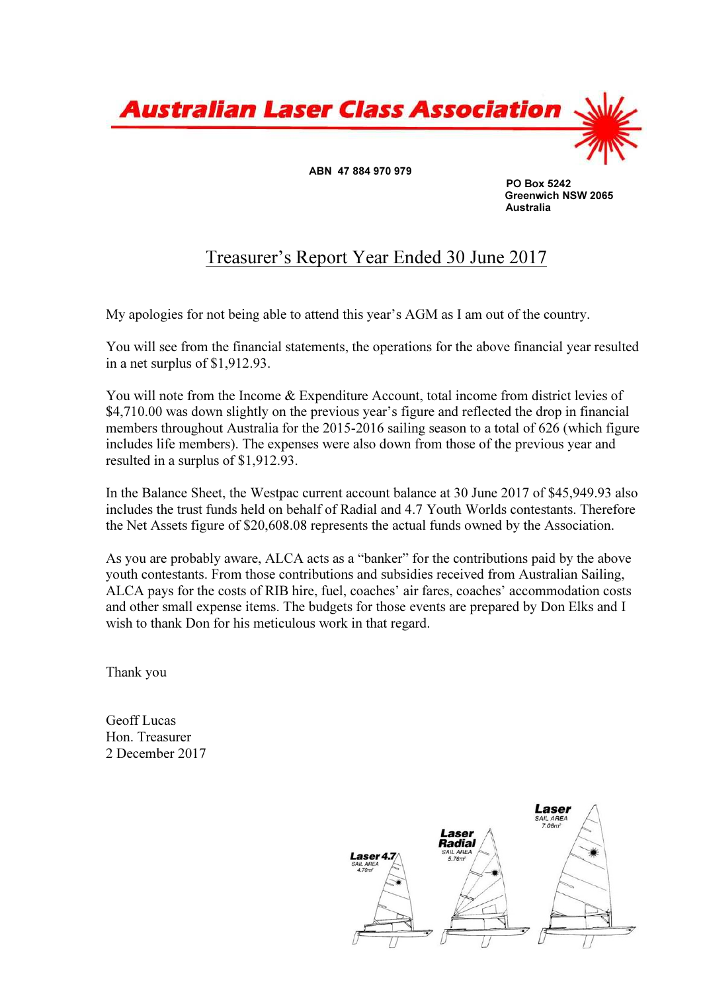

 PO Box 5242 Greenwich NSW 2065 Australia

# Treasurer's Report Year Ended 30 June 2017

My apologies for not being able to attend this year's AGM as I am out of the country.

You will see from the financial statements, the operations for the above financial year resulted in a net surplus of \$1,912.93.

You will note from the Income & Expenditure Account, total income from district levies of \$4,710.00 was down slightly on the previous year's figure and reflected the drop in financial members throughout Australia for the 2015-2016 sailing season to a total of 626 (which figure includes life members). The expenses were also down from those of the previous year and resulted in a surplus of \$1,912.93.

In the Balance Sheet, the Westpac current account balance at 30 June 2017 of \$45,949.93 also includes the trust funds held on behalf of Radial and 4.7 Youth Worlds contestants. Therefore the Net Assets figure of \$20,608.08 represents the actual funds owned by the Association.

As you are probably aware, ALCA acts as a "banker" for the contributions paid by the above youth contestants. From those contributions and subsidies received from Australian Sailing, ALCA pays for the costs of RIB hire, fuel, coaches' air fares, coaches' accommodation costs and other small expense items. The budgets for those events are prepared by Don Elks and I wish to thank Don for his meticulous work in that regard.

Thank you

Geoff Lucas Hon. Treasurer 2 December 2017

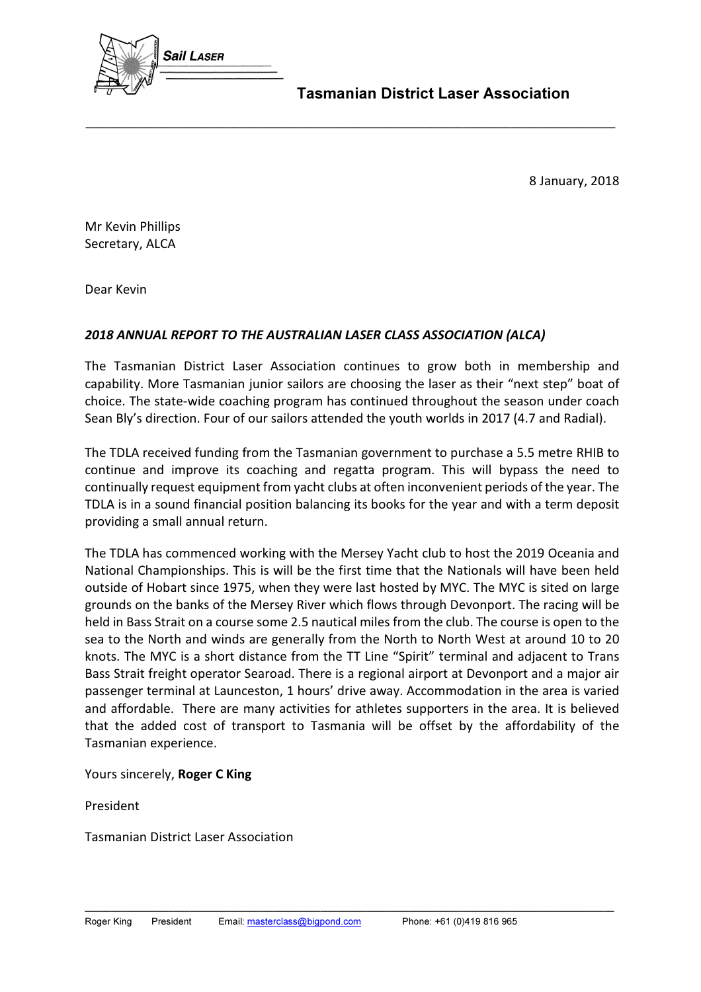

Tasmanian District Laser Association

8 January, 2018

Mr Kevin Phillips Secretary, ALCA

Dear Kevin

# 2018 ANNUAL REPORT TO THE AUSTRALIAN LASER CLASS ASSOCIATION (ALCA)

The Tasmanian District Laser Association continues to grow both in membership and capability. More Tasmanian junior sailors are choosing the laser as their "next step" boat of choice. The state-wide coaching program has continued throughout the season under coach Sean Bly's direction. Four of our sailors attended the youth worlds in 2017 (4.7 and Radial).

\_\_\_\_\_\_\_\_\_\_\_\_\_\_\_\_\_\_\_\_\_\_\_\_\_\_\_\_\_\_\_\_\_\_\_\_\_\_\_\_\_\_\_\_\_\_\_\_\_\_\_\_\_\_\_\_\_\_\_\_\_\_\_\_\_\_\_\_\_\_\_\_\_\_\_\_\_\_\_\_\_\_\_\_\_\_\_\_\_\_\_\_\_\_\_\_\_\_\_\_\_

The TDLA received funding from the Tasmanian government to purchase a 5.5 metre RHIB to continue and improve its coaching and regatta program. This will bypass the need to continually request equipment from yacht clubs at often inconvenient periods of the year. The TDLA is in a sound financial position balancing its books for the year and with a term deposit providing a small annual return.

The TDLA has commenced working with the Mersey Yacht club to host the 2019 Oceania and National Championships. This is will be the first time that the Nationals will have been held outside of Hobart since 1975, when they were last hosted by MYC. The MYC is sited on large grounds on the banks of the Mersey River which flows through Devonport. The racing will be held in Bass Strait on a course some 2.5 nautical miles from the club. The course is open to the sea to the North and winds are generally from the North to North West at around 10 to 20 knots. The MYC is a short distance from the TT Line "Spirit" terminal and adjacent to Trans Bass Strait freight operator Searoad. There is a regional airport at Devonport and a major air passenger terminal at Launceston, 1 hours' drive away. Accommodation in the area is varied and affordable. There are many activities for athletes supporters in the area. It is believed that the added cost of transport to Tasmania will be offset by the affordability of the Tasmanian experience.

Yours sincerely, Roger C King

President

Tasmanian District Laser Association

\_\_\_\_\_\_\_\_\_\_\_\_\_\_\_\_\_\_\_\_\_\_\_\_\_\_\_\_\_\_\_\_\_\_\_\_\_\_\_\_\_\_\_\_\_\_\_\_\_\_\_\_\_\_\_\_\_\_\_\_\_\_\_\_\_\_\_\_\_\_\_\_\_\_\_\_\_\_\_\_\_\_\_\_\_\_\_\_\_\_\_\_\_\_\_\_\_\_\_\_\_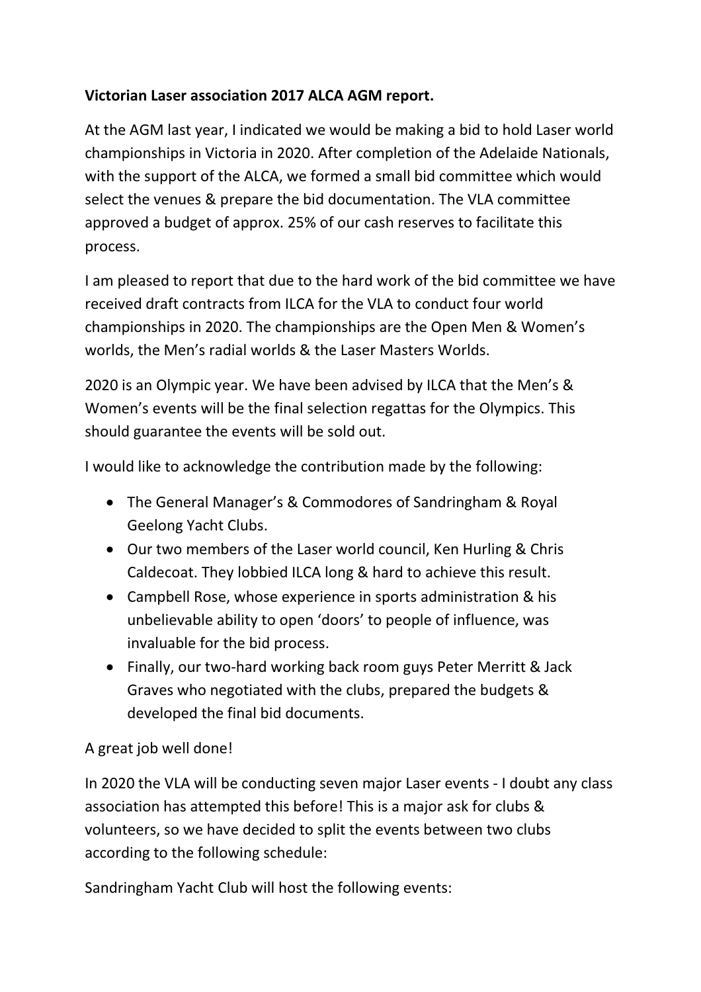# Victorian Laser association 2017 ALCA AGM report.

At the AGM last year, I indicated we would be making a bid to hold Laser world championships in Victoria in 2020. After completion of the Adelaide Nationals, with the support of the ALCA, we formed a small bid committee which would select the venues & prepare the bid documentation. The VLA committee approved a budget of approx. 25% of our cash reserves to facilitate this process.

I am pleased to report that due to the hard work of the bid committee we have received draft contracts from ILCA for the VLA to conduct four world championships in 2020. The championships are the Open Men & Women's worlds, the Men's radial worlds & the Laser Masters Worlds.

2020 is an Olympic year. We have been advised by ILCA that the Men's & Women's events will be the final selection regattas for the Olympics. This should guarantee the events will be sold out.

I would like to acknowledge the contribution made by the following:

- The General Manager's & Commodores of Sandringham & Royal Geelong Yacht Clubs.
- Our two members of the Laser world council, Ken Hurling & Chris Caldecoat. They lobbied ILCA long & hard to achieve this result.
- Campbell Rose, whose experience in sports administration & his unbelievable ability to open 'doors' to people of influence, was invaluable for the bid process.
- Finally, our two-hard working back room guys Peter Merritt & Jack Graves who negotiated with the clubs, prepared the budgets & developed the final bid documents.

# A great job well done!

In 2020 the VLA will be conducting seven major Laser events - I doubt any class association has attempted this before! This is a major ask for clubs & volunteers, so we have decided to split the events between two clubs according to the following schedule:

Sandringham Yacht Club will host the following events: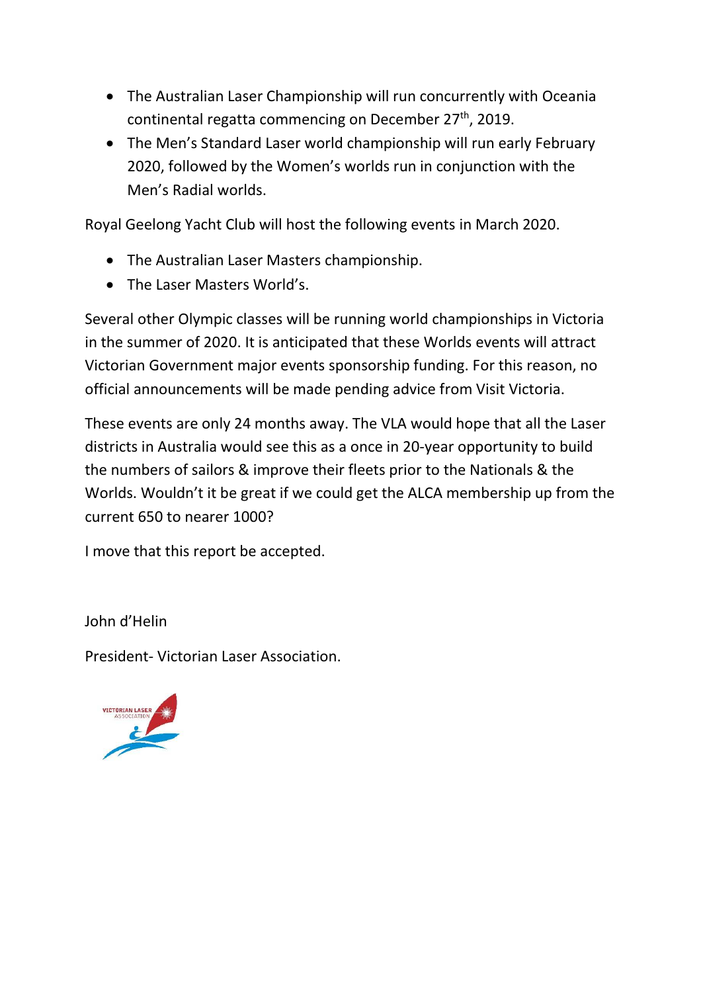- The Australian Laser Championship will run concurrently with Oceania continental regatta commencing on December 27<sup>th</sup>, 2019.
- The Men's Standard Laser world championship will run early February 2020, followed by the Women's worlds run in conjunction with the Men's Radial worlds.

Royal Geelong Yacht Club will host the following events in March 2020.

- The Australian Laser Masters championship.
- The Laser Masters World's.

Several other Olympic classes will be running world championships in Victoria in the summer of 2020. It is anticipated that these Worlds events will attract Victorian Government major events sponsorship funding. For this reason, no official announcements will be made pending advice from Visit Victoria.

These events are only 24 months away. The VLA would hope that all the Laser districts in Australia would see this as a once in 20-year opportunity to build the numbers of sailors & improve their fleets prior to the Nationals & the Worlds. Wouldn't it be great if we could get the ALCA membership up from the current 650 to nearer 1000?

I move that this report be accepted.

John d'Helin

President- Victorian Laser Association.

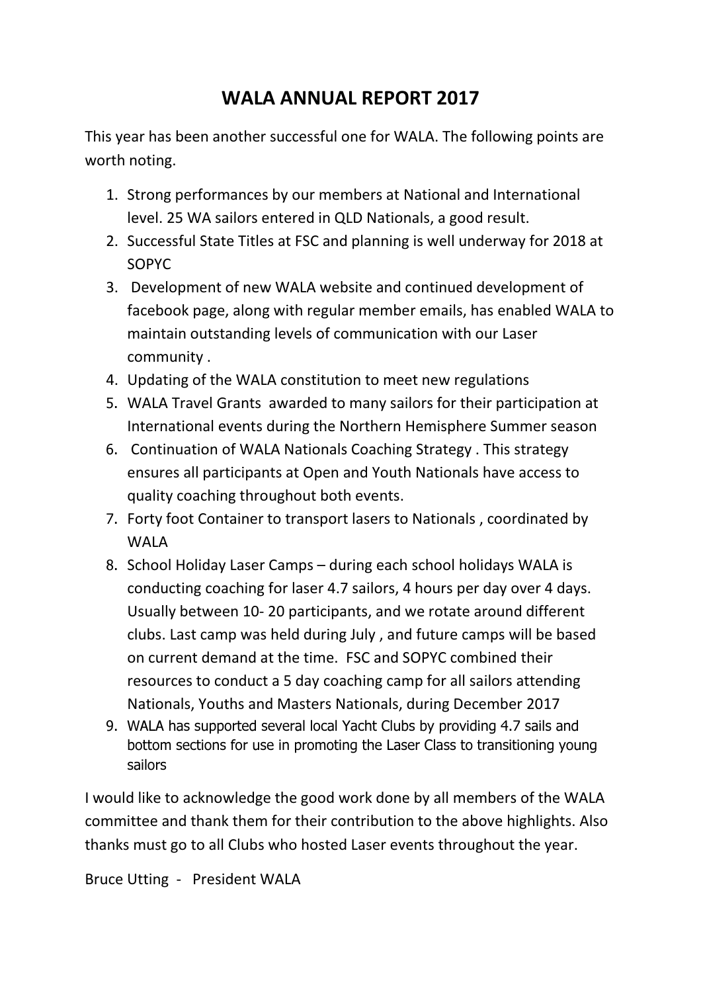# WALA ANNUAL REPORT 2017

This year has been another successful one for WALA. The following points are worth noting.

- 1. Strong performances by our members at National and International level. 25 WA sailors entered in QLD Nationals, a good result.
- 2. Successful State Titles at FSC and planning is well underway for 2018 at SOPYC
- 3. Development of new WALA website and continued development of facebook page, along with regular member emails, has enabled WALA to maintain outstanding levels of communication with our Laser community .
- 4. Updating of the WALA constitution to meet new regulations
- 5. WALA Travel Grants awarded to many sailors for their participation at International events during the Northern Hemisphere Summer season
- 6. Continuation of WALA Nationals Coaching Strategy . This strategy ensures all participants at Open and Youth Nationals have access to quality coaching throughout both events.
- 7. Forty foot Container to transport lasers to Nationals , coordinated by WALA
- 8. School Holiday Laser Camps during each school holidays WALA is conducting coaching for laser 4.7 sailors, 4 hours per day over 4 days. Usually between 10- 20 participants, and we rotate around different clubs. Last camp was held during July , and future camps will be based on current demand at the time. FSC and SOPYC combined their resources to conduct a 5 day coaching camp for all sailors attending Nationals, Youths and Masters Nationals, during December 2017
- 9. WALA has supported several local Yacht Clubs by providing 4.7 sails and bottom sections for use in promoting the Laser Class to transitioning young sailors

I would like to acknowledge the good work done by all members of the WALA committee and thank them for their contribution to the above highlights. Also thanks must go to all Clubs who hosted Laser events throughout the year.

Bruce Utting - President WALA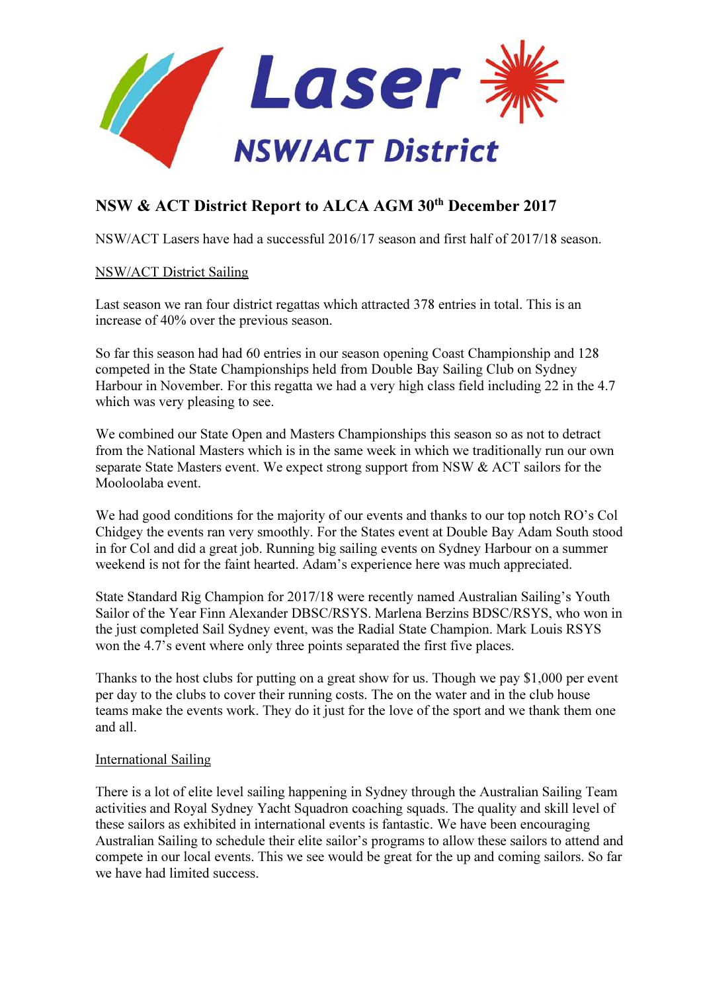

# NSW & ACT District Report to ALCA AGM 30<sup>th</sup> December 2017

NSW/ACT Lasers have had a successful 2016/17 season and first half of 2017/18 season.

# NSW/ACT District Sailing

Last season we ran four district regattas which attracted 378 entries in total. This is an increase of 40% over the previous season.

So far this season had had 60 entries in our season opening Coast Championship and 128 competed in the State Championships held from Double Bay Sailing Club on Sydney Harbour in November. For this regatta we had a very high class field including 22 in the 4.7 which was very pleasing to see.

We combined our State Open and Masters Championships this season so as not to detract from the National Masters which is in the same week in which we traditionally run our own separate State Masters event. We expect strong support from NSW & ACT sailors for the Mooloolaba event.

We had good conditions for the majority of our events and thanks to our top notch RO's Col Chidgey the events ran very smoothly. For the States event at Double Bay Adam South stood in for Col and did a great job. Running big sailing events on Sydney Harbour on a summer weekend is not for the faint hearted. Adam's experience here was much appreciated.

State Standard Rig Champion for 2017/18 were recently named Australian Sailing's Youth Sailor of the Year Finn Alexander DBSC/RSYS. Marlena Berzins BDSC/RSYS, who won in the just completed Sail Sydney event, was the Radial State Champion. Mark Louis RSYS won the 4.7's event where only three points separated the first five places.

Thanks to the host clubs for putting on a great show for us. Though we pay \$1,000 per event per day to the clubs to cover their running costs. The on the water and in the club house teams make the events work. They do it just for the love of the sport and we thank them one and all.

## International Sailing

There is a lot of elite level sailing happening in Sydney through the Australian Sailing Team activities and Royal Sydney Yacht Squadron coaching squads. The quality and skill level of these sailors as exhibited in international events is fantastic. We have been encouraging Australian Sailing to schedule their elite sailor's programs to allow these sailors to attend and compete in our local events. This we see would be great for the up and coming sailors. So far we have had limited success.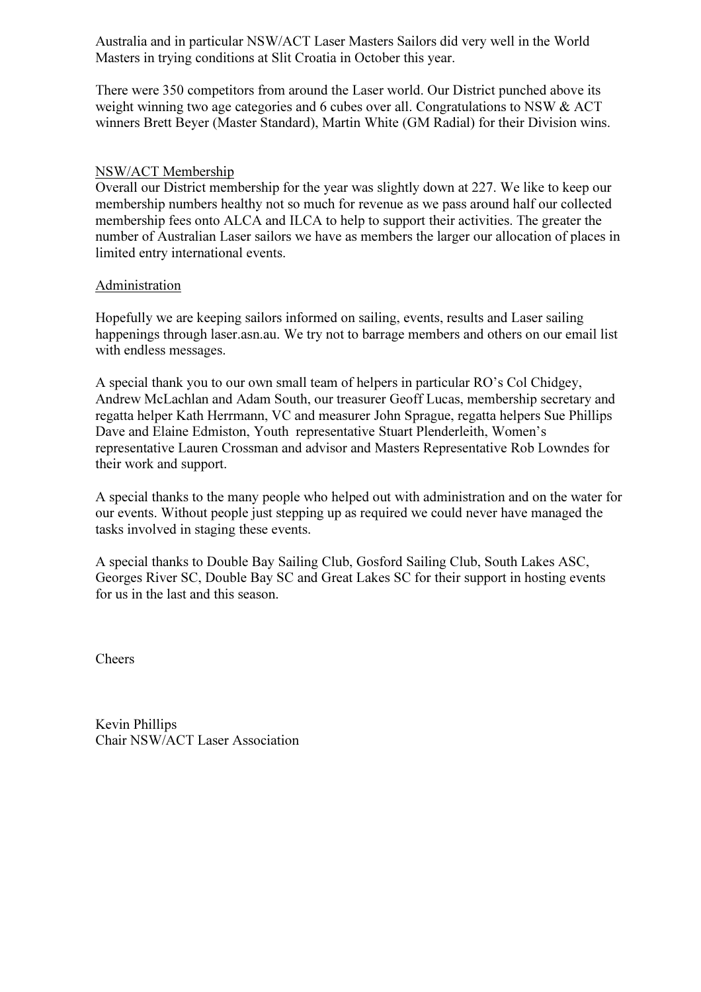Australia and in particular NSW/ACT Laser Masters Sailors did very well in the World Masters in trying conditions at Slit Croatia in October this year.

There were 350 competitors from around the Laser world. Our District punched above its weight winning two age categories and 6 cubes over all. Congratulations to NSW & ACT winners Brett Beyer (Master Standard), Martin White (GM Radial) for their Division wins.

## NSW/ACT Membership

Overall our District membership for the year was slightly down at 227. We like to keep our membership numbers healthy not so much for revenue as we pass around half our collected membership fees onto ALCA and ILCA to help to support their activities. The greater the number of Australian Laser sailors we have as members the larger our allocation of places in limited entry international events.

## Administration

Hopefully we are keeping sailors informed on sailing, events, results and Laser sailing happenings through laser.asn.au. We try not to barrage members and others on our email list with endless messages.

A special thank you to our own small team of helpers in particular RO's Col Chidgey, Andrew McLachlan and Adam South, our treasurer Geoff Lucas, membership secretary and regatta helper Kath Herrmann, VC and measurer John Sprague, regatta helpers Sue Phillips Dave and Elaine Edmiston, Youth representative Stuart Plenderleith, Women's representative Lauren Crossman and advisor and Masters Representative Rob Lowndes for their work and support.

A special thanks to the many people who helped out with administration and on the water for our events. Without people just stepping up as required we could never have managed the tasks involved in staging these events.

A special thanks to Double Bay Sailing Club, Gosford Sailing Club, South Lakes ASC, Georges River SC, Double Bay SC and Great Lakes SC for their support in hosting events for us in the last and this season.

Cheers

Kevin Phillips Chair NSW/ACT Laser Association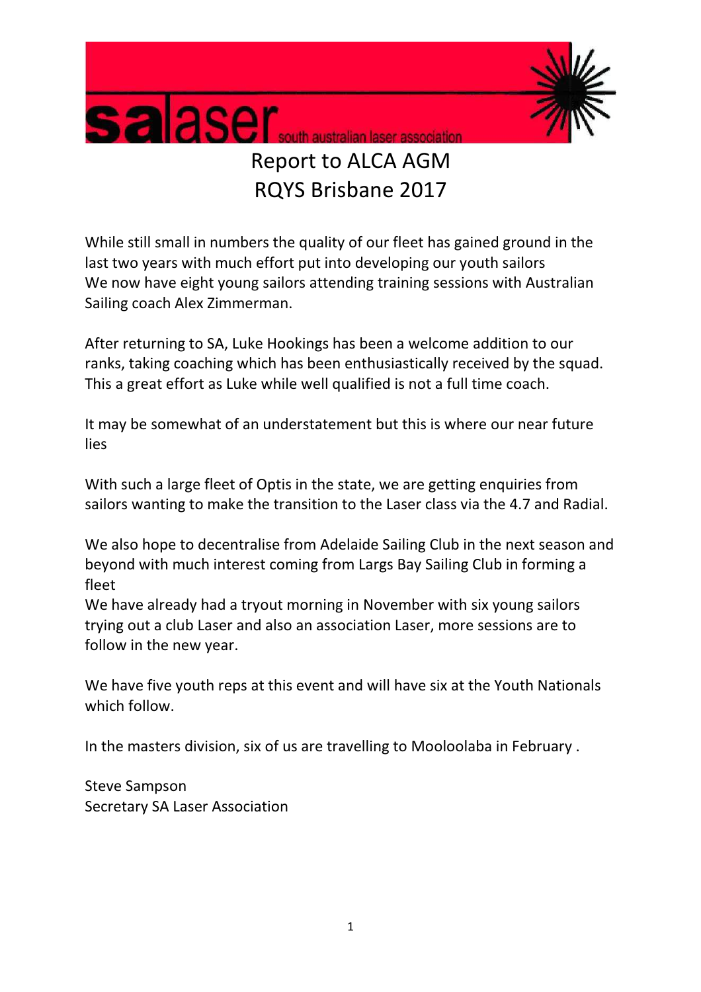

# Report to ALCA AGM RQYS Brisbane 2017

While still small in numbers the quality of our fleet has gained ground in the last two years with much effort put into developing our youth sailors We now have eight young sailors attending training sessions with Australian Sailing coach Alex Zimmerman.

After returning to SA, Luke Hookings has been a welcome addition to our ranks, taking coaching which has been enthusiastically received by the squad. This a great effort as Luke while well qualified is not a full time coach.

It may be somewhat of an understatement but this is where our near future lies

With such a large fleet of Optis in the state, we are getting enquiries from sailors wanting to make the transition to the Laser class via the 4.7 and Radial.

We also hope to decentralise from Adelaide Sailing Club in the next season and beyond with much interest coming from Largs Bay Sailing Club in forming a fleet

We have already had a tryout morning in November with six young sailors trying out a club Laser and also an association Laser, more sessions are to follow in the new year.

We have five youth reps at this event and will have six at the Youth Nationals which follow.

In the masters division, six of us are travelling to Mooloolaba in February .

Steve Sampson Secretary SA Laser Association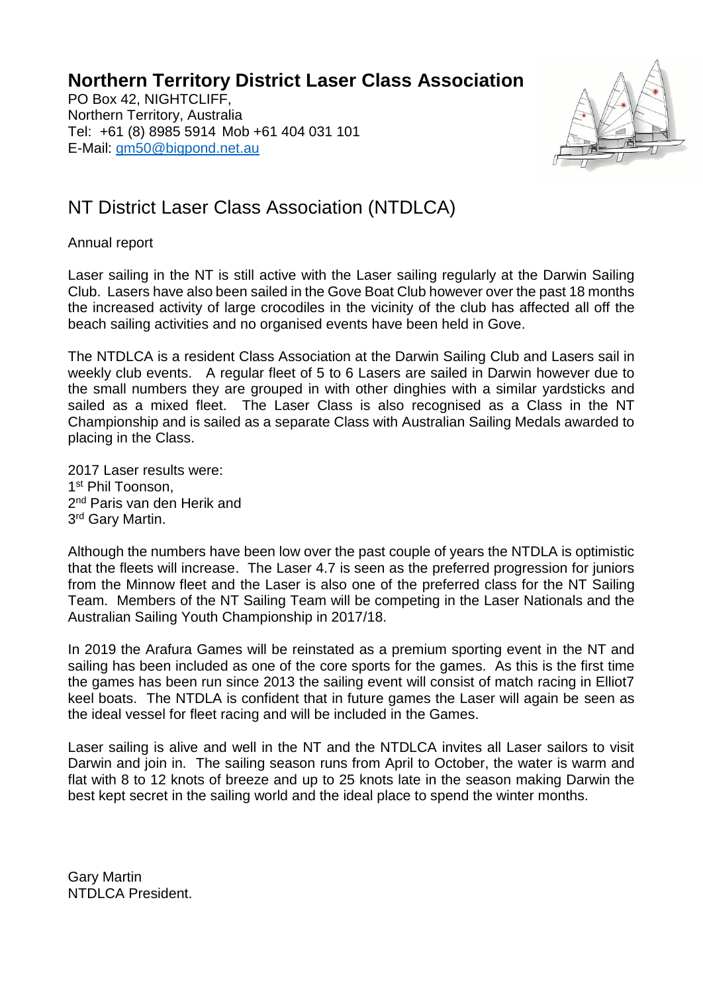**Northern Territory District Laser Class Association**

PO Box 42, NIGHTCLIFF, Northern Territory, Australia Tel: +61 (8) 8985 5914 Mob +61 404 031 101 E-Mail: [gm50@bigpond.net.au](mailto:gm50@bigpond.net.au)



# NT District Laser Class Association (NTDLCA)

Annual report

Laser sailing in the NT is still active with the Laser sailing regularly at the Darwin Sailing Club. Lasers have also been sailed in the Gove Boat Club however over the past 18 months the increased activity of large crocodiles in the vicinity of the club has affected all off the beach sailing activities and no organised events have been held in Gove.

The NTDLCA is a resident Class Association at the Darwin Sailing Club and Lasers sail in weekly club events. A regular fleet of 5 to 6 Lasers are sailed in Darwin however due to the small numbers they are grouped in with other dinghies with a similar yardsticks and sailed as a mixed fleet. The Laser Class is also recognised as a Class in the NT Championship and is sailed as a separate Class with Australian Sailing Medals awarded to placing in the Class.

2017 Laser results were: 1<sup>st</sup> Phil Toonson, 2<sup>nd</sup> Paris van den Herik and 3<sup>rd</sup> Gary Martin.

Although the numbers have been low over the past couple of years the NTDLA is optimistic that the fleets will increase. The Laser 4.7 is seen as the preferred progression for juniors from the Minnow fleet and the Laser is also one of the preferred class for the NT Sailing Team. Members of the NT Sailing Team will be competing in the Laser Nationals and the Australian Sailing Youth Championship in 2017/18.

In 2019 the Arafura Games will be reinstated as a premium sporting event in the NT and sailing has been included as one of the core sports for the games. As this is the first time the games has been run since 2013 the sailing event will consist of match racing in Elliot7 keel boats. The NTDLA is confident that in future games the Laser will again be seen as the ideal vessel for fleet racing and will be included in the Games.

Laser sailing is alive and well in the NT and the NTDLCA invites all Laser sailors to visit Darwin and join in. The sailing season runs from April to October, the water is warm and flat with 8 to 12 knots of breeze and up to 25 knots late in the season making Darwin the best kept secret in the sailing world and the ideal place to spend the winter months.

Gary Martin NTDLCA President.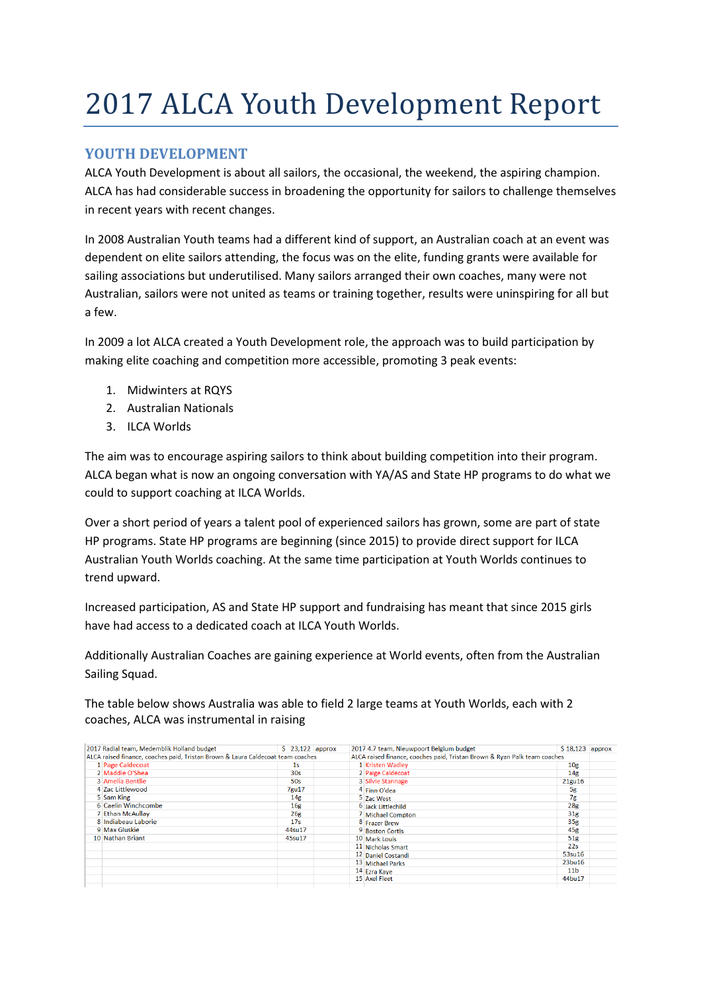# 2017 ALCA Youth Development Report

# YOUTH DEVELOPMENT

ALCA Youth Development is about all sailors, the occasional, the weekend, the aspiring champion. ALCA has had considerable success in broadening the opportunity for sailors to challenge themselves in recent years with recent changes.

In 2008 Australian Youth teams had a different kind of support, an Australian coach at an event was dependent on elite sailors attending, the focus was on the elite, funding grants were available for sailing associations but underutilised. Many sailors arranged their own coaches, many were not Australian, sailors were not united as teams or training together, results were uninspiring for all but a few.

In 2009 a lot ALCA created a Youth Development role, the approach was to build participation by making elite coaching and competition more accessible, promoting 3 peak events:

- 1. Midwinters at RQYS
- 2. Australian Nationals
- 3. ILCA Worlds

The aim was to encourage aspiring sailors to think about building competition into their program. ALCA began what is now an ongoing conversation with YA/AS and State HP programs to do what we could to support coaching at ILCA Worlds.

Over a short period of years a talent pool of experienced sailors has grown, some are part of state HP programs. State HP programs are beginning (since 2015) to provide direct support for ILCA Australian Youth Worlds coaching. At the same time participation at Youth Worlds continues to trend upward.

Increased participation, AS and State HP support and fundraising has meant that since 2015 girls have had access to a dedicated coach at ILCA Youth Worlds.

Additionally Australian Coaches are gaining experience at World events, often from the Australian Sailing Squad.

The table below shows Australia was able to field 2 large teams at Youth Worlds, each with 2 coaches, ALCA was instrumental in raising

| 2017 Radial team, Medemblik Holland budget                                      | $$23,122$ approx |  |                                                                           | 2017 4.7 team, Nieuwpoort Belgium budget | $$18.123$ approx |  |
|---------------------------------------------------------------------------------|------------------|--|---------------------------------------------------------------------------|------------------------------------------|------------------|--|
| ALCA raised finance, coaches paid, Tristan Brown & Laura Caldecoat team coaches |                  |  | ALCA raised finance, coaches paid, Tristan Brown & Ryan Palk team coaches |                                          |                  |  |
| 1 Page Caldecoat                                                                | 1s               |  |                                                                           | 1 Kristen Wadley                         | 10 <sub>g</sub>  |  |
| 2 Maddie O'Shea                                                                 | 30s              |  |                                                                           | 2 Paige Caldecoat                        | 14 <sub>g</sub>  |  |
| 3 Amelia Bentlie                                                                | <b>50s</b>       |  |                                                                           | 3 Silvie Stannage                        | 21gu16           |  |
| 4 Zac Littlewood                                                                | 7gu17            |  |                                                                           | 4 Finn O'dea                             | 5g               |  |
| 5 Sam King                                                                      | 14g              |  |                                                                           | 5 Zac West                               | 7g               |  |
| 6 Caelin Winchcombe                                                             | 16 <sub>g</sub>  |  |                                                                           | 6 Jack Littlechild                       | 28 <sub>g</sub>  |  |
| 7 Ethan McAullay                                                                | 26g              |  |                                                                           | 7 Michael Compton                        | 31 <sub>g</sub>  |  |
| 8 Indiabeau Laborie                                                             | 17s              |  |                                                                           | 8 Frazer Brew                            | 35 <sub>g</sub>  |  |
| 9 Max Gluskie                                                                   | 44su17           |  |                                                                           | 9 Boston Cortis                          | 45 <sub>g</sub>  |  |
| 10 Nathan Briant                                                                | 45su17           |  |                                                                           | 10 Mark Louis                            | 51g              |  |
|                                                                                 |                  |  |                                                                           | 11 Nicholas Smart                        | 22s              |  |
|                                                                                 |                  |  |                                                                           | 12 Daniel Costandi                       | 53su16           |  |
|                                                                                 |                  |  |                                                                           | 13 Michael Parks                         | 23bu16           |  |
|                                                                                 |                  |  |                                                                           | 14 Ezra Kaye                             | 11 <sub>b</sub>  |  |
|                                                                                 |                  |  |                                                                           | 15 Axel Fleet                            | 44bu17           |  |
|                                                                                 |                  |  |                                                                           |                                          |                  |  |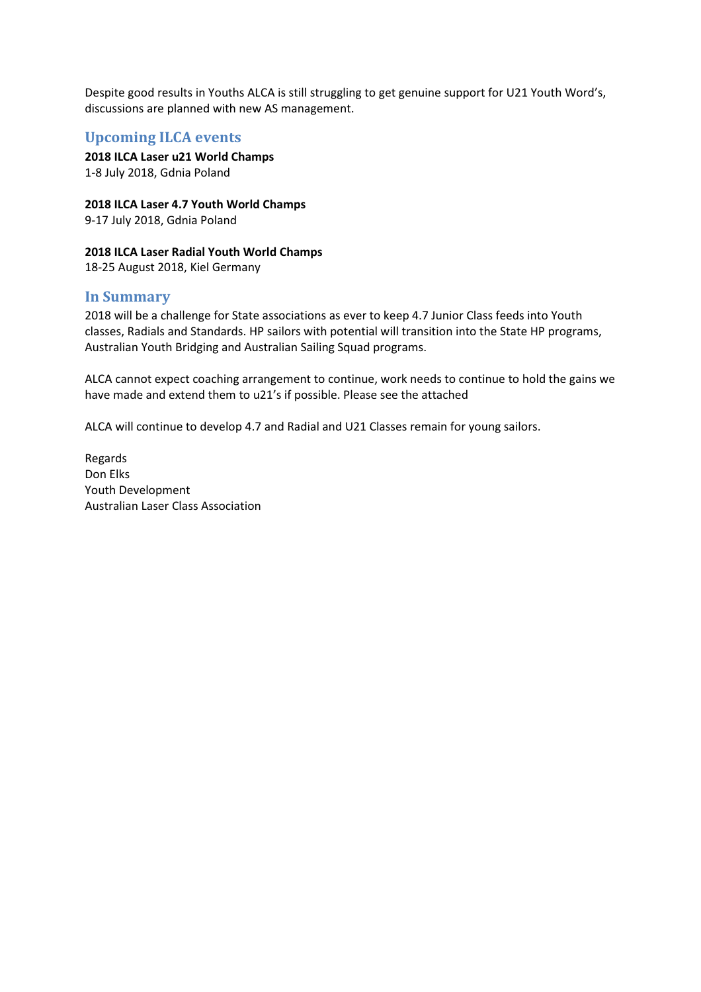Despite good results in Youths ALCA is still struggling to get genuine support for U21 Youth Word's, discussions are planned with new AS management.

## Upcoming ILCA events

2018 ILCA Laser u21 World Champs 1-8 July 2018, Gdnia Poland

2018 ILCA Laser 4.7 Youth World Champs

9-17 July 2018, Gdnia Poland

### 2018 ILCA Laser Radial Youth World Champs

18-25 August 2018, Kiel Germany

## In Summary

2018 will be a challenge for State associations as ever to keep 4.7 Junior Class feeds into Youth classes, Radials and Standards. HP sailors with potential will transition into the State HP programs, Australian Youth Bridging and Australian Sailing Squad programs.

ALCA cannot expect coaching arrangement to continue, work needs to continue to hold the gains we have made and extend them to u21's if possible. Please see the attached

ALCA will continue to develop 4.7 and Radial and U21 Classes remain for young sailors.

Regards Don Elks Youth Development Australian Laser Class Association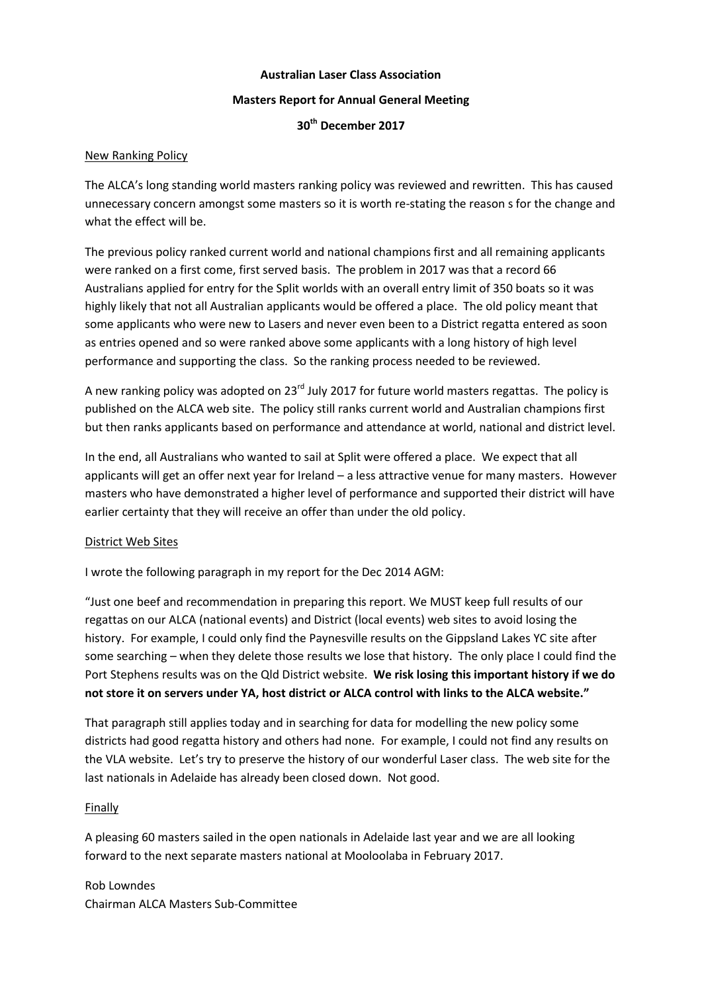### **Australian Laser Class Association**

### **Masters Report for Annual General Meeting**

**30th December 2017**

### New Ranking Policy

The ALCA's long standing world masters ranking policy was reviewed and rewritten. This has caused unnecessary concern amongst some masters so it is worth re-stating the reason s for the change and what the effect will be.

The previous policy ranked current world and national champions first and all remaining applicants were ranked on a first come, first served basis. The problem in 2017 was that a record 66 Australians applied for entry for the Split worlds with an overall entry limit of 350 boats so it was highly likely that not all Australian applicants would be offered a place. The old policy meant that some applicants who were new to Lasers and never even been to a District regatta entered as soon as entries opened and so were ranked above some applicants with a long history of high level performance and supporting the class. So the ranking process needed to be reviewed.

A new ranking policy was adopted on  $23^{rd}$  July 2017 for future world masters regattas. The policy is published on the ALCA web site. The policy still ranks current world and Australian champions first but then ranks applicants based on performance and attendance at world, national and district level.

In the end, all Australians who wanted to sail at Split were offered a place. We expect that all applicants will get an offer next year for Ireland – a less attractive venue for many masters. However masters who have demonstrated a higher level of performance and supported their district will have earlier certainty that they will receive an offer than under the old policy.

## District Web Sites

I wrote the following paragraph in my report for the Dec 2014 AGM:

"Just one beef and recommendation in preparing this report. We MUST keep full results of our regattas on our ALCA (national events) and District (local events) web sites to avoid losing the history. For example, I could only find the Paynesville results on the Gippsland Lakes YC site after some searching – when they delete those results we lose that history. The only place I could find the Port Stephens results was on the Qld District website. **We risk losing this important history if we do not store it on servers under YA, host district or ALCA control with links to the ALCA website."**

That paragraph still applies today and in searching for data for modelling the new policy some districts had good regatta history and others had none. For example, I could not find any results on the VLA website. Let's try to preserve the history of our wonderful Laser class. The web site for the last nationals in Adelaide has already been closed down. Not good.

## Finally

A pleasing 60 masters sailed in the open nationals in Adelaide last year and we are all looking forward to the next separate masters national at Mooloolaba in February 2017.

Rob Lowndes Chairman ALCA Masters Sub-Committee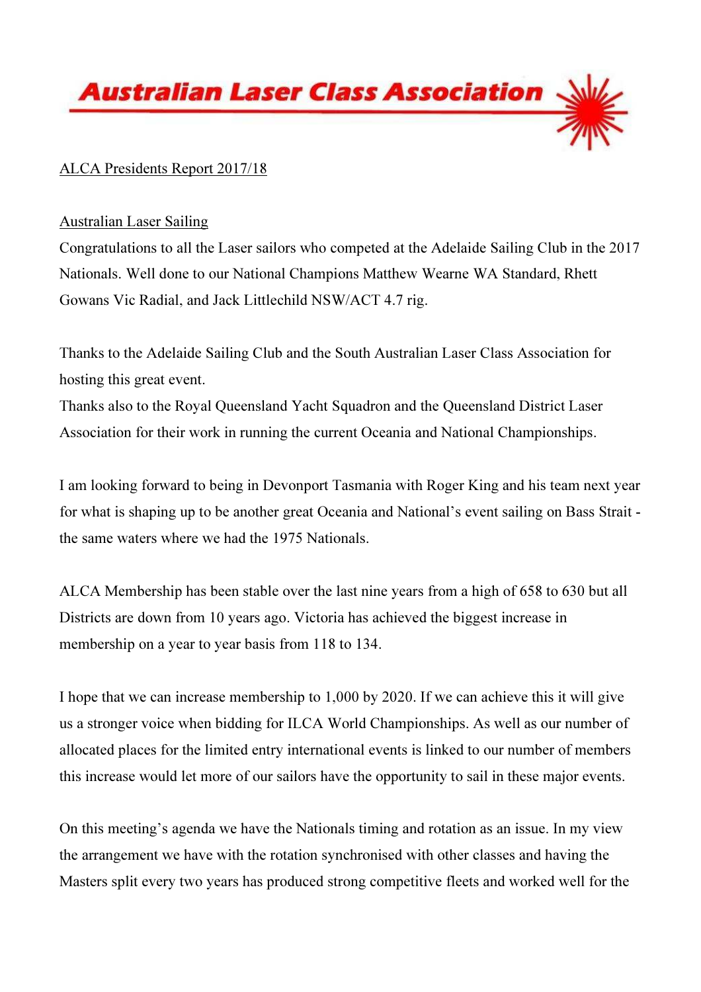

# ALCA Presidents Report 2017/18

# Australian Laser Sailing

Congratulations to all the Laser sailors who competed at the Adelaide Sailing Club in the 2017 Nationals. Well done to our National Champions Matthew Wearne WA Standard, Rhett Gowans Vic Radial, and Jack Littlechild NSW/ACT 4.7 rig.

Thanks to the Adelaide Sailing Club and the South Australian Laser Class Association for hosting this great event.

Thanks also to the Royal Queensland Yacht Squadron and the Queensland District Laser Association for their work in running the current Oceania and National Championships.

I am looking forward to being in Devonport Tasmania with Roger King and his team next year for what is shaping up to be another great Oceania and National's event sailing on Bass Strait the same waters where we had the 1975 Nationals.

ALCA Membership has been stable over the last nine years from a high of 658 to 630 but all Districts are down from 10 years ago. Victoria has achieved the biggest increase in membership on a year to year basis from 118 to 134.

I hope that we can increase membership to 1,000 by 2020. If we can achieve this it will give us a stronger voice when bidding for ILCA World Championships. As well as our number of allocated places for the limited entry international events is linked to our number of members this increase would let more of our sailors have the opportunity to sail in these major events.

On this meeting's agenda we have the Nationals timing and rotation as an issue. In my view the arrangement we have with the rotation synchronised with other classes and having the Masters split every two years has produced strong competitive fleets and worked well for the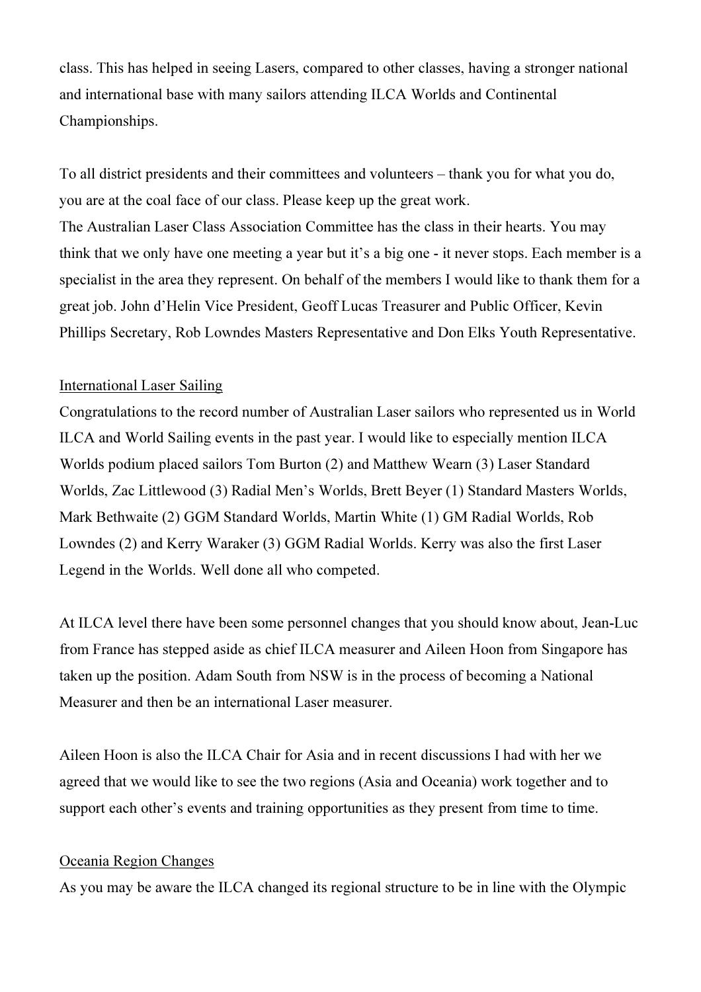class. This has helped in seeing Lasers, compared to other classes, having a stronger national and international base with many sailors attending ILCA Worlds and Continental Championships.

To all district presidents and their committees and volunteers – thank you for what you do, you are at the coal face of our class. Please keep up the great work. The Australian Laser Class Association Committee has the class in their hearts. You may think that we only have one meeting a year but it's a big one - it never stops. Each member is a specialist in the area they represent. On behalf of the members I would like to thank them for a great job. John d'Helin Vice President, Geoff Lucas Treasurer and Public Officer, Kevin Phillips Secretary, Rob Lowndes Masters Representative and Don Elks Youth Representative.

# International Laser Sailing

Congratulations to the record number of Australian Laser sailors who represented us in World ILCA and World Sailing events in the past year. I would like to especially mention ILCA Worlds podium placed sailors Tom Burton (2) and Matthew Wearn (3) Laser Standard Worlds, Zac Littlewood (3) Radial Men's Worlds, Brett Beyer (1) Standard Masters Worlds, Mark Bethwaite (2) GGM Standard Worlds, Martin White (1) GM Radial Worlds, Rob Lowndes (2) and Kerry Waraker (3) GGM Radial Worlds. Kerry was also the first Laser Legend in the Worlds. Well done all who competed.

At ILCA level there have been some personnel changes that you should know about, Jean-Luc from France has stepped aside as chief ILCA measurer and Aileen Hoon from Singapore has taken up the position. Adam South from NSW is in the process of becoming a National Measurer and then be an international Laser measurer.

Aileen Hoon is also the ILCA Chair for Asia and in recent discussions I had with her we agreed that we would like to see the two regions (Asia and Oceania) work together and to support each other's events and training opportunities as they present from time to time.

# Oceania Region Changes

As you may be aware the ILCA changed its regional structure to be in line with the Olympic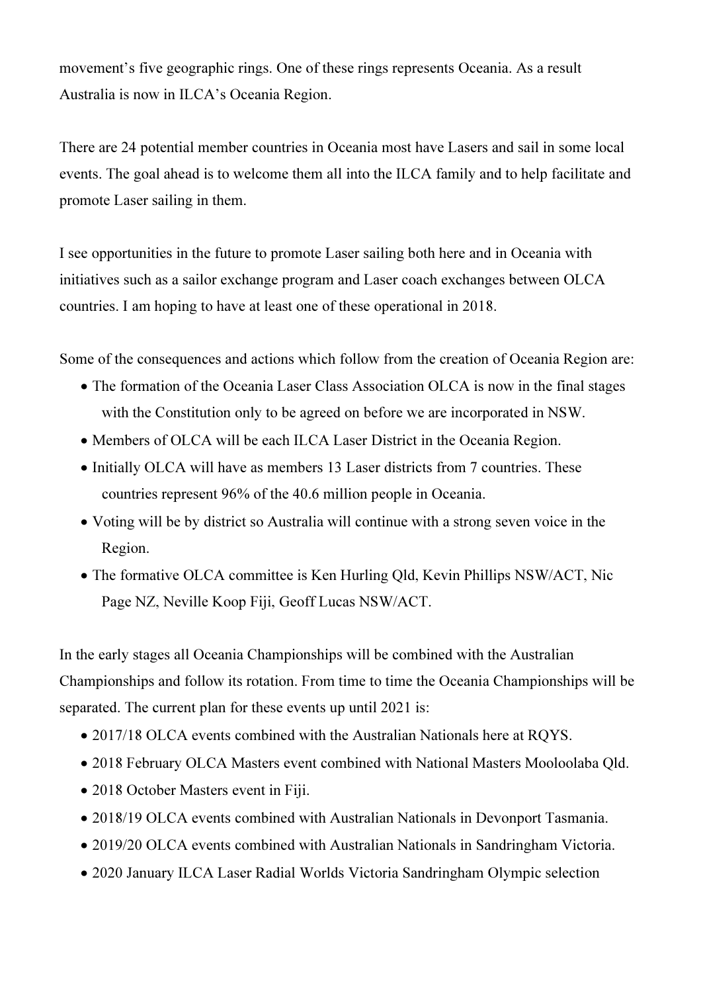movement's five geographic rings. One of these rings represents Oceania. As a result Australia is now in ILCA's Oceania Region.

There are 24 potential member countries in Oceania most have Lasers and sail in some local events. The goal ahead is to welcome them all into the ILCA family and to help facilitate and promote Laser sailing in them.

I see opportunities in the future to promote Laser sailing both here and in Oceania with initiatives such as a sailor exchange program and Laser coach exchanges between OLCA countries. I am hoping to have at least one of these operational in 2018.

Some of the consequences and actions which follow from the creation of Oceania Region are:

- The formation of the Oceania Laser Class Association OLCA is now in the final stages with the Constitution only to be agreed on before we are incorporated in NSW.
- Members of OLCA will be each ILCA Laser District in the Oceania Region.
- Initially OLCA will have as members 13 Laser districts from 7 countries. These countries represent 96% of the 40.6 million people in Oceania.
- Voting will be by district so Australia will continue with a strong seven voice in the Region.
- The formative OLCA committee is Ken Hurling Old, Kevin Phillips NSW/ACT, Nic Page NZ, Neville Koop Fiji, Geoff Lucas NSW/ACT.

In the early stages all Oceania Championships will be combined with the Australian Championships and follow its rotation. From time to time the Oceania Championships will be separated. The current plan for these events up until 2021 is:

- 2017/18 OLCA events combined with the Australian Nationals here at RQYS.
- 2018 February OLCA Masters event combined with National Masters Mooloolaba Qld.
- 2018 October Masters event in Fiji.
- 2018/19 OLCA events combined with Australian Nationals in Devonport Tasmania.
- 2019/20 OLCA events combined with Australian Nationals in Sandringham Victoria.
- 2020 January ILCA Laser Radial Worlds Victoria Sandringham Olympic selection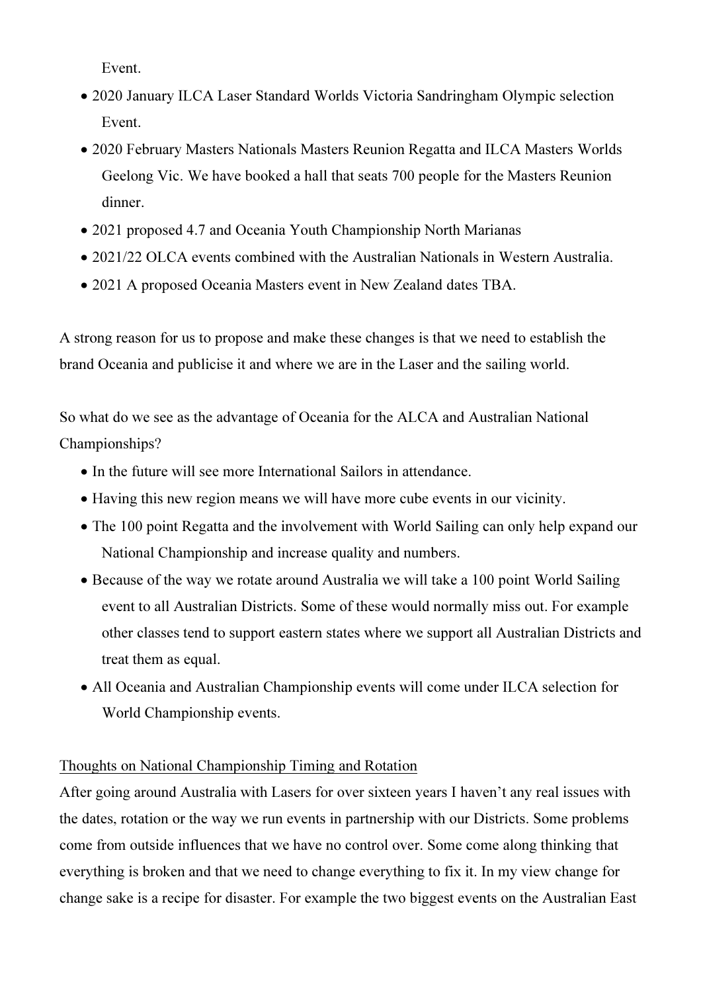Event.

- 2020 January ILCA Laser Standard Worlds Victoria Sandringham Olympic selection Event.
- 2020 February Masters Nationals Masters Reunion Regatta and ILCA Masters Worlds Geelong Vic. We have booked a hall that seats 700 people for the Masters Reunion dinner.
- 2021 proposed 4.7 and Oceania Youth Championship North Marianas
- 2021/22 OLCA events combined with the Australian Nationals in Western Australia.
- 2021 A proposed Oceania Masters event in New Zealand dates TBA.

A strong reason for us to propose and make these changes is that we need to establish the brand Oceania and publicise it and where we are in the Laser and the sailing world.

So what do we see as the advantage of Oceania for the ALCA and Australian National Championships?

- In the future will see more International Sailors in attendance.
- Having this new region means we will have more cube events in our vicinity.
- The 100 point Regatta and the involvement with World Sailing can only help expand our National Championship and increase quality and numbers.
- Because of the way we rotate around Australia we will take a 100 point World Sailing event to all Australian Districts. Some of these would normally miss out. For example other classes tend to support eastern states where we support all Australian Districts and treat them as equal.
- All Oceania and Australian Championship events will come under ILCA selection for World Championship events.

# Thoughts on National Championship Timing and Rotation

After going around Australia with Lasers for over sixteen years I haven't any real issues with the dates, rotation or the way we run events in partnership with our Districts. Some problems come from outside influences that we have no control over. Some come along thinking that everything is broken and that we need to change everything to fix it. In my view change for change sake is a recipe for disaster. For example the two biggest events on the Australian East